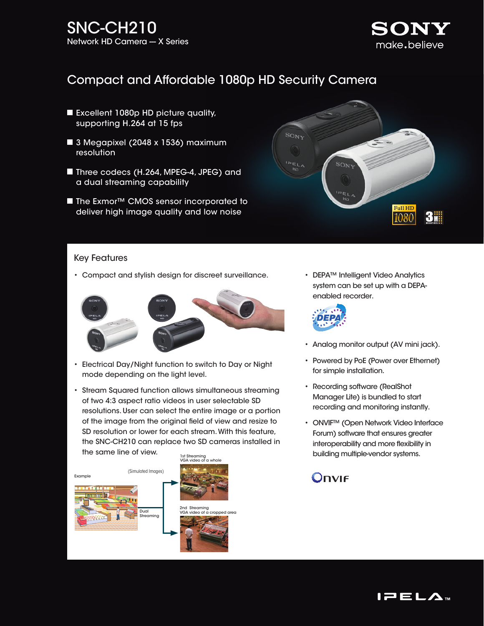

## Compact and Affordable 1080p HD Security Camera

- Excellent 1080p HD picture quality, supporting H.264 at 15 fps
- 3 Megapixel (2048 x 1536) maximum resolution
- Three codecs (H.264, MPEG-4, JPEG) and a dual streaming capability
- The Exmor<sup>™</sup> CMOS sensor incorporated to deliver high image quality and low noise



#### Key Features

• Compact and stylish design for discreet surveillance.



- Electrical Day/Night function to switch to Day or Night mode depending on the light level.
- Stream Squared function allows simultaneous streaming of two 4:3 aspect ratio videos in user selectable SD resolutions. User can select the entire image or a portion of the image from the original field of view and resize to SD resolution or lower for each stream. With this feature, the SNC-CH210 can replace two SD cameras installed in the same line of view.



• DEPA™ Intelligent Video Analytics system can be set up with a DEPAenabled recorder.



- Analog monitor output (AV mini jack).
- Powered by PoE (Power over Ethernet) for simple installation.
- Recording software (RealShot Manager Lite) is bundled to start recording and monitoring instantly.
- ONVIF™ (Open Network Video Interface Forum) software that ensures greater interoperability and more flexibility in building multiple-vendor systems.

# Onvie